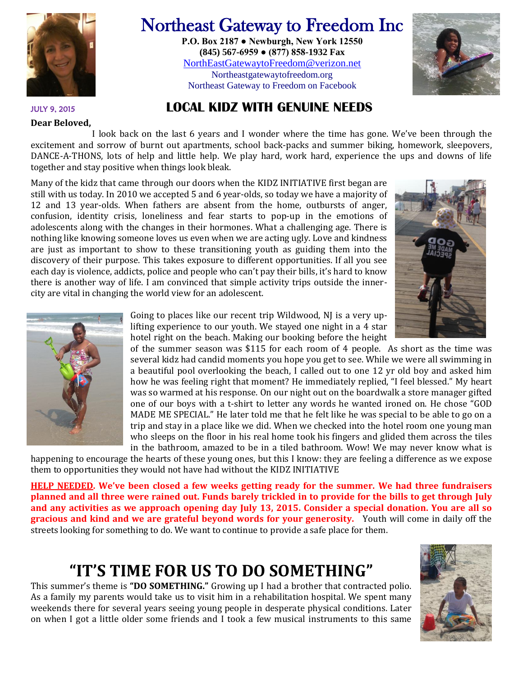

# Northeast Gateway to Freedom Inc

**P.O. Box 2187 ● Newburgh, New York 12550 (845) 567-6959 ● (877) 858-1932 Fax** [NorthEastGatewaytoFreedom@verizon.net](mailto:NorthEastGatewaytoFreedom@verizon.net) Northeastgatewaytofreedom.org Northeast Gateway to Freedom on Facebook



JULY 9, 2015 **LOCAL KIDZ WITH GENUINE NEEDS**

#### **Dear Beloved,**

I look back on the last 6 years and I wonder where the time has gone. We've been through the excitement and sorrow of burnt out apartments, school back-packs and summer biking, homework, sleepovers, DANCE-A-THONS, lots of help and little help. We play hard, work hard, experience the ups and downs of life together and stay positive when things look bleak.

Many of the kidz that came through our doors when the KIDZ INITIATIVE first began are still with us today. In 2010 we accepted 5 and 6 year-olds, so today we have a majority of 12 and 13 year-olds. When fathers are absent from the home, outbursts of anger, confusion, identity crisis, loneliness and fear starts to pop-up in the emotions of adolescents along with the changes in their hormones. What a challenging age. There is nothing like knowing someone loves us even when we are acting ugly. Love and kindness are just as important to show to these transitioning youth as guiding them into the discovery of their purpose. This takes exposure to different opportunities. If all you see each day is violence, addicts, police and people who can't pay their bills, it's hard to know there is another way of life. I am convinced that simple activity trips outside the innercity are vital in changing the world view for an adolescent.





Going to places like our recent trip Wildwood, NJ is a very uplifting experience to our youth. We stayed one night in a 4 star hotel right on the beach. Making our booking before the height

of the summer season was \$115 for each room of 4 people. As short as the time was several kidz had candid moments you hope you get to see. While we were all swimming in a beautiful pool overlooking the beach, I called out to one 12 yr old boy and asked him how he was feeling right that moment? He immediately replied, "I feel blessed." My heart was so warmed at his response. On our night out on the boardwalk a store manager gifted one of our boys with a t-shirt to letter any words he wanted ironed on. He chose "GOD MADE ME SPECIAL." He later told me that he felt like he was special to be able to go on a trip and stay in a place like we did. When we checked into the hotel room one young man who sleeps on the floor in his real home took his fingers and glided them across the tiles in the bathroom, amazed to be in a tiled bathroom. Wow! We may never know what is

happening to encourage the hearts of these young ones, but this I know: they are feeling a difference as we expose them to opportunities they would not have had without the KIDZ INITIATIVE

**HELP NEEDED. We've been closed a few weeks getting ready for the summer. We had three fundraisers planned and all three were rained out. Funds barely trickled in to provide for the bills to get through July and any activities as we approach opening day July 13, 2015. Consider a special donation. You are all so gracious and kind and we are grateful beyond words for your generosity.** Youth will come in daily off the streets looking for something to do. We want to continue to provide a safe place for them.

## **"IT'S TIME FOR US TO DO SOMETHING"**

This summer's theme is **"DO SOMETHING."** Growing up I had a brother that contracted polio. As a family my parents would take us to visit him in a rehabilitation hospital. We spent many weekends there for several years seeing young people in desperate physical conditions. Later on when I got a little older some friends and I took a few musical instruments to this same